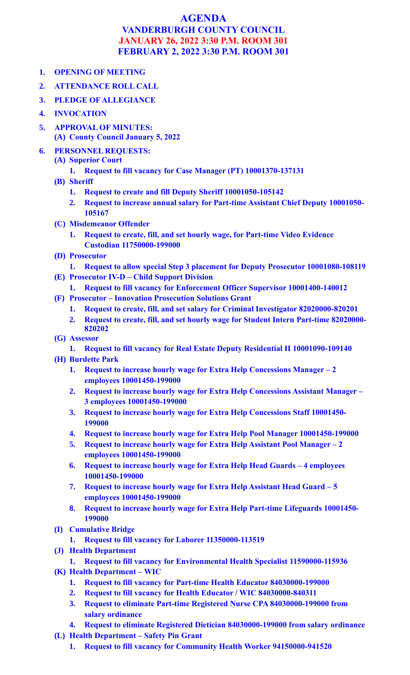## **AGENDA VANDERBURGH COUNTY COUNCIL JANUARY 26, 2022 3:30 P.M. ROOM 301 FEBRUARY 2, 2022 3:30 P.M. ROOM 301**

- **1. OPENING OF MEETING**
- **2. ATTENDANCE ROLL CALL**
- **3. PLEDGE OF ALLEGIANCE**
- **4. INVOCATION**
- **5. APPROVAL OF MINUTES: (A) County Council January 5, 2022**
- **6. PERSONNEL REQUESTS:**
	- **(A) Superior Court**
		- **1. Request to fill vacancy for Case Manager (PT) 10001370-137131**
	- **(B) Sheriff**
		- **1. Request to create and fill Deputy Sheriff 10001050-105142**
		- **2. Request to increase annual salary for Part-time Assistant Chief Deputy 10001050- 105167**
	- **(C) Misdemeanor Offender**
		- **1. Request to create, fill, and set hourly wage, for Part-time Video Evidence Custodian 11750000-199000**
	- **(D) Prosecutor**
	- **1. Request to allow special Step 3 placement for Deputy Prosecutor 10001080-108119 (E) Prosecutor IV-D – Child Support Division**
		- **1. Request to fill vacancy for Enforcement Officer Supervisor 10001400-140012**
	- **(F) Prosecutor – Innovation Prosecution Solutions Grant**
		- **1. Request to create, fill, and set salary for Criminal Investigator 82020000-820201**
		- **2. Request to create, fill, and set hourly wage for Student Intern Part-time 82020000- 820202**
	- **(G) Assessor**
		- **1. Request to fill vacancy for Real Estate Deputy Residential II 10001090-109140**
	- **(H) Burdette Park**
		- **1. Request to increase hourly wage for Extra Help Concessions Manager – 2 employees 10001450-199000**
		- **2. Request to increase hourly wage for Extra Help Concessions Assistant Manager – 3 employees 10001450-199000**
		- **3. Request to increase hourly wage for Extra Help Concessions Staff 10001450- 199000**
		- **4. Request to increase hourly wage for Extra Help Pool Manager 10001450-199000**
		- **5. Request to increase hourly wage for Extra Help Assistant Pool Manager – 2 employees 10001450-199000**
		- **6. Request to increase hourly wage for Extra Help Head Guards – 4 employees 10001450-199000**
		- **7. Request to increase hourly wage for Extra Help Assistant Head Guard – 5 employees 10001450-199000**
		- **8. Request to increase hourly wage for Extra Help Part-time Lifeguards 10001450- 199000**
	- **(I) Cumulative Bridge**
		- **1. Request to fill vacancy for Laborer 11350000-113519**
	- **(J) Health Department** 
		- **1. Request to fill vacancy for Environmental Health Specialist 11590000-115936**
	- **(K) Health Department – WIC**
		- **1. Request to fill vacancy for Part-time Health Educator 84030000-199000**
		- **2. Request to fill vacancy for Health Educator / WIC 84030000-840311**
		- **3. Request to eliminate Part-time Registered Nurse CPA 84030000-199000 from salary ordinance**
		- **4. Request to eliminate Registered Dietician 84030000-199000 from salary ordinance**
	- **(L) Health Department – Safety Pin Grant**
		- **1. Request to fill vacancy for Community Health Worker 94150000-941520**